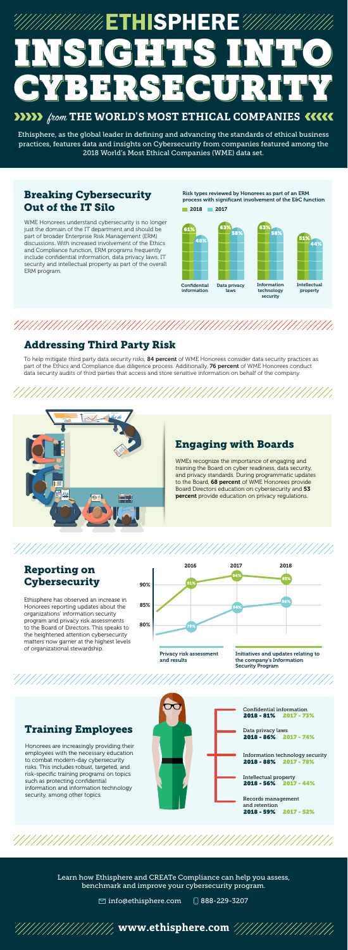WME Honorees understand cybersecurity is no longer just the domain of the IT department and should be part of broader Enterprise Risk Management (ERM) discussions. With increased involvement of the Ethics and Compliance function, ERM programs frequently include confidential information, data privacy laws, IT security and intellectual property as part of the overall ERM program.

> WMEs recognize the importance of engaging and training the Board on cyber readiness, data security, and privacy standards. During programmatic updates to the Board, 68 percent of WME Honorees provide Board Directors education on cybersecurity and 53 percent provide education on privacy regulations.

# Addressing Third Party Risk

## Breaking Cybersecurity Out of the IT Silo

# Engaging with Boards

## Reporting on **Cybersecurity**

#### Training Employees

To help mitigate third party data security risks, 84 percent of WME Honorees consider data security practices as part of the Ethics and Compliance due diligence process. Additionally, 76 percent of WME Honorees conduct data security audits of third parties that access and store sensitive information on behalf of the company.



Honorees are increasingly providing their employees with the necessary education to combat modern-day cybersecurity risks. This includes robust, targeted, and risk-specific training programs on topics such as protecting confidential information and information technology security, among other topics.

Ethisphere has observed an increase in Honorees reporting updates about the organizations' information security program and privacy risk assessments to the Board of Directors. This speaks to the heightened attention cybersecurity matters now garner at the highest levels of organizational stewardship.

Risk types reviewed by Honorees as part of an ERM process with significant involvement of the E&C function



# //////////ETHISPHERE IGHT HST BERSECU! **THE WORLD'S MOST ETHICAL COMPANIES 11111**

Ethisphere, as the global leader in defining and advancing the standards of ethical business

practices, features data and insights on Cybersecurity from companies featured among the 2018 World's Most Ethical Companies (WME) data set.









Learn how Ethisphere and CREATe Compliance can help you assess, benchmark and improve your cybersecurity program.

 $\boxtimes$  info@ethisphere.com  $\textcircled{\scriptsize{0}}$  888-229-3207